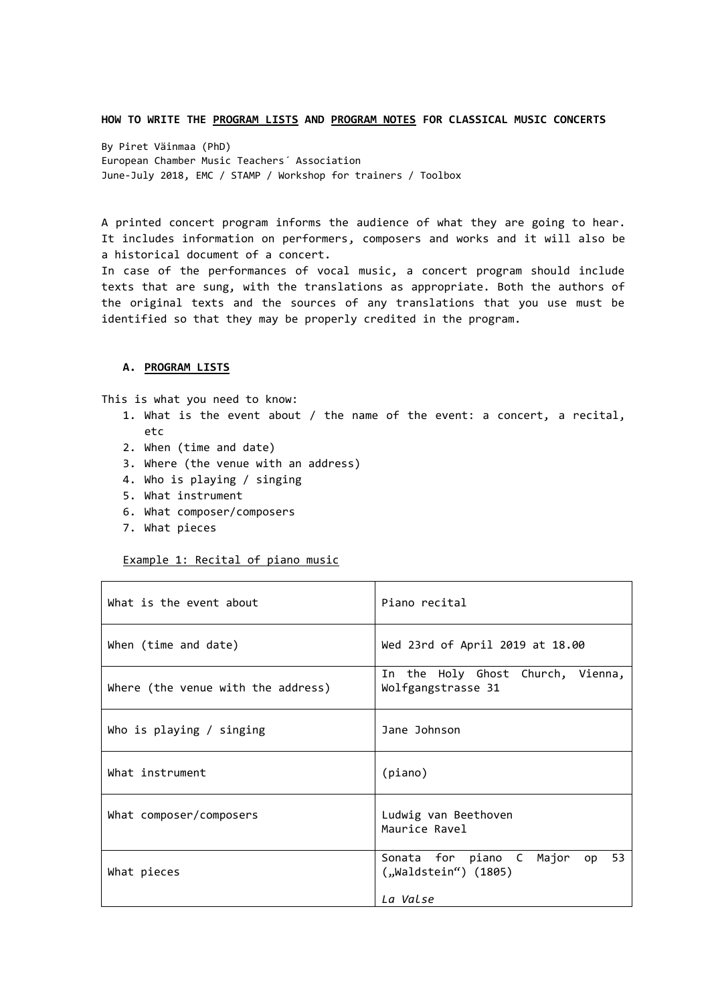#### **HOW TO WRITE THE PROGRAM LISTS AND PROGRAM NOTES FOR CLASSICAL MUSIC CONCERTS**

By Piret Väinmaa (PhD) European Chamber Music Teachers´ Association June-July 2018, EMC / STAMP / Workshop for trainers / Toolbox

A printed concert program informs the audience of what they are going to hear. It includes information on performers, composers and works and it will also be a historical document of a concert.

In case of the performances of vocal music, a concert program should include texts that are sung, with the translations as appropriate. Both the authors of the original texts and the sources of any translations that you use must be identified so that they may be properly credited in the program.

#### **A. PROGRAM LISTS**

This is what you need to know:

- 1. What is the event about / the name of the event: a concert, a recital, etc
- 2. When (time and date)
- 3. Where (the venue with an address)
- 4. Who is playing / singing
- 5. What instrument
- 6. What composer/composers
- 7. What pieces

#### Example 1: Recital of piano music

| What is the event about            | Piano recital                                                        |
|------------------------------------|----------------------------------------------------------------------|
| When (time and date)               | Wed 23rd of April 2019 at 18.00                                      |
| Where (the venue with the address) | In the Holy Ghost Church, Vienna,<br>Wolfgangstrasse 31              |
| Who is playing / singing           | Jane Johnson                                                         |
| What instrument                    | (piano)                                                              |
| What composer/composers            | Ludwig van Beethoven<br>Maurice Ravel                                |
| What pieces                        | Sonata for piano C Major<br>op 53<br>(1805) (Waldstein")<br>La Valse |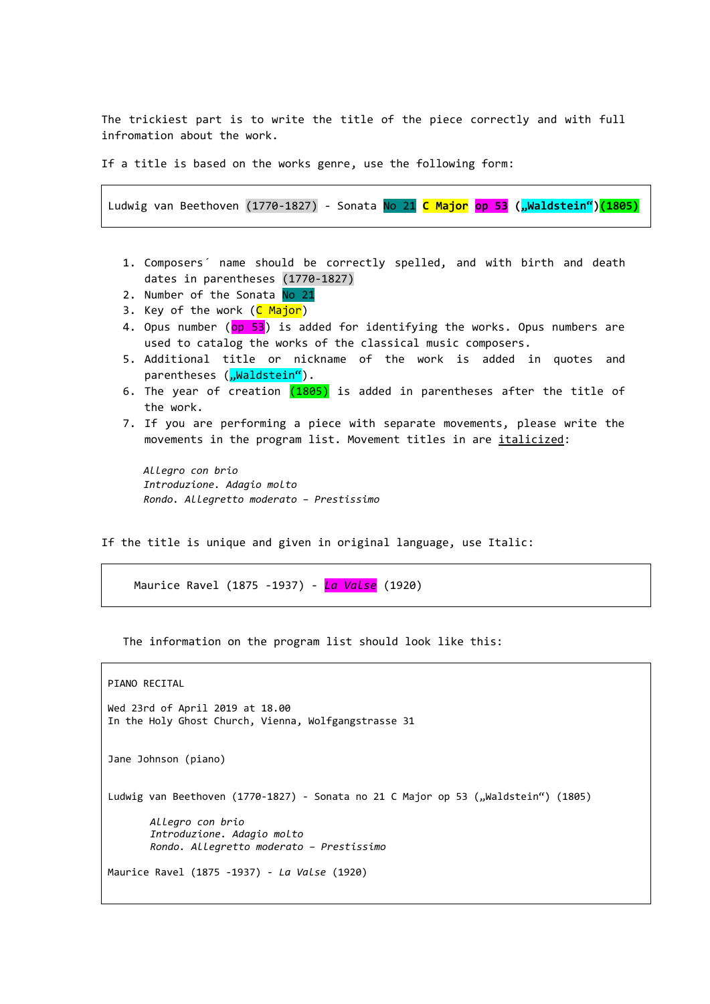The trickiest part is to write the title of the piece correctly and with full infromation about the work.

If a title is based on the works genre, use the following form:

Ludwig van Beethoven (1770-1827) - Sonata No 21 **C Major op 53 ("Waldstein")(1805)**

- 1. Composers´ name should be correctly spelled, and with birth and death dates in parentheses (1770-1827)
- 2. Number of the Sonata No 21
- 3. Key of the work (C Major)
- 4. Opus number (op 53) is added for identifying the works. Opus numbers are used to catalog the works of the classical music composers.
- 5. Additional title or nickname of the work is added in quotes and parentheses ("Waldstein").
- 6. The year of creation (1805) is added in parentheses after the title of the work.
- 7. If you are performing a piece with separate movements, please write the movements in the program list. Movement titles in are italicized:

```
Allegro con brio
Introduzione. Adagio molto
Rondo. Allegretto moderato – Prestissimo
```
If the title is unique and given in original language, use Italic:

Maurice Ravel (1875 -1937) - *La Valse* (1920)

The information on the program list should look like this:

```
PIANO RECITAL
Wed 23rd of April 2019 at 18.00
In the Holy Ghost Church, Vienna, Wolfgangstrasse 31
Jane Johnson (piano)
Ludwig van Beethoven (1770-1827) - Sonata no 21 C Major op 53 ("Waldstein") (1805)
       Allegro con brio
       Introduzione. Adagio molto
       Rondo. Allegretto moderato – Prestissimo
Maurice Ravel (1875 -1937) - La Valse (1920)
```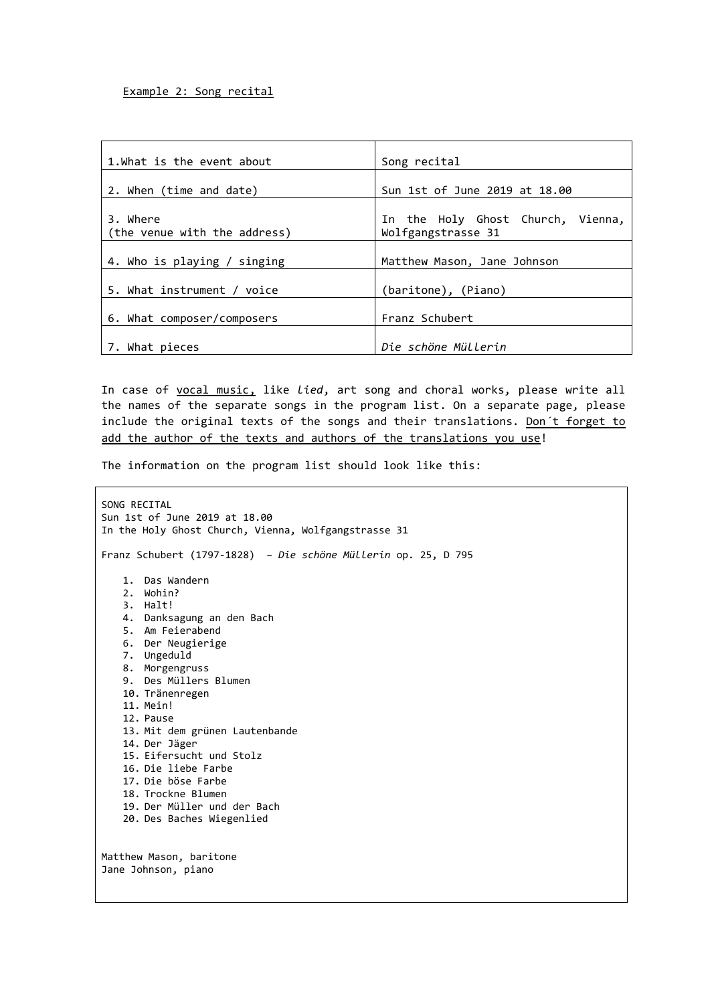| 1.What is the event about                | Song recital                                            |
|------------------------------------------|---------------------------------------------------------|
| 2. When (time and date)                  | Sun 1st of June 2019 at 18.00                           |
| 3. Where<br>(the venue with the address) | In the Holy Ghost Church, Vienna,<br>Wolfgangstrasse 31 |
| 4. Who is playing / singing              | Matthew Mason, Jane Johnson                             |
| 5. What instrument / voice               | (baritone), (Piano)                                     |
| 6. What composer/composers               | Franz Schubert                                          |
| 7. What pieces                           | Die schöne Müllerin                                     |

In case of vocal music, like *lied*, art song and choral works, please write all the names of the separate songs in the program list. On a separate page, please include the original texts of the songs and their translations. Don't forget to add the author of the texts and authors of the translations you use!

The information on the program list should look like this:

SONG RECITAL Sun 1st of June 2019 at 18.00 In the Holy Ghost Church, Vienna, Wolfgangstrasse 31 Franz Schubert (1797-1828) – *Die schöne Müllerin* op. 25, D 795 1. Das Wandern 2. Wohin? 3. Halt! 4. Danksagung an den Bach 5. Am Feierabend 6. Der Neugierige 7. Ungeduld 8. Morgengruss 9. Des Müllers Blumen 10. Tränenregen 11. Mein! 12. Pause 13. Mit dem grünen Lautenbande 14. Der Jäger 15. Eifersucht und Stolz 16. Die liebe Farbe 17. Die böse Farbe 18. Trockne Blumen 19. Der Müller und der Bach 20. Des Baches Wiegenlied Matthew Mason, baritone Jane Johnson, piano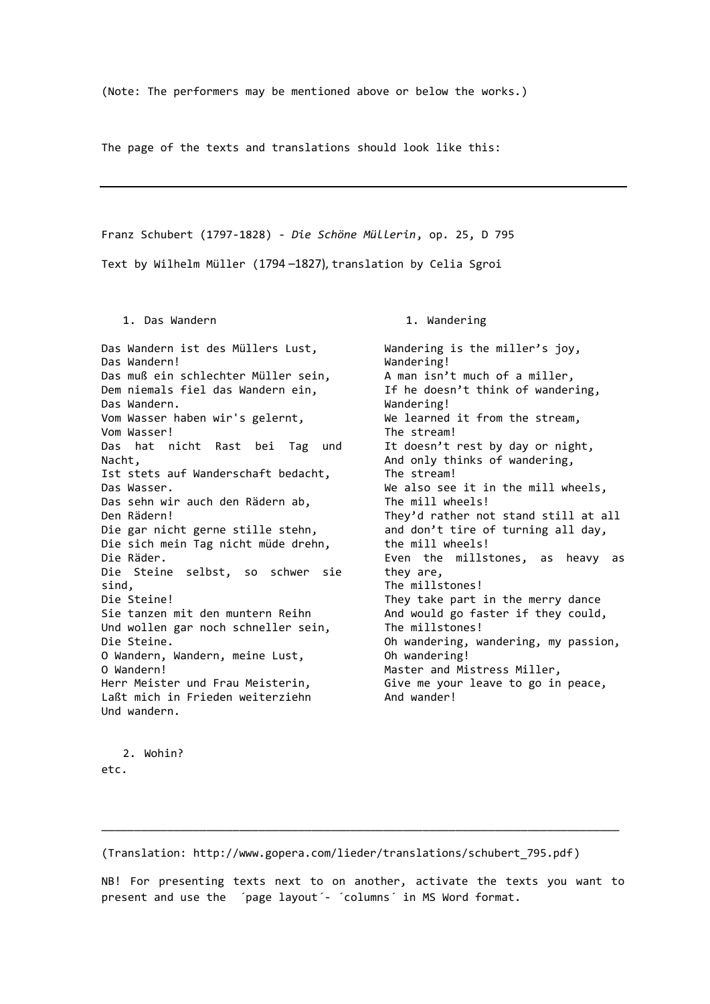(Note: The performers may be mentioned above or below the works.)

The page of the texts and translations should look like this:

Franz Schubert (1797-1828) - *Die Schöne Müllerin*, op. 25, D 795

Text by [Wilhelm Müller](https://www.allmusic.com/artist/wilhelm-m%C3%BCller-mn0002200493) (1794 –1827), translation by Celia Sgroi

1. Das Wandern

Das Wandern ist des Müllers Lust, Das Wandern! Das muß ein schlechter Müller sein, Dem niemals fiel das Wandern ein, Das Wandern. Vom Wasser haben wir's gelernt, Vom Wasser! Das hat nicht Rast bei Tag und Nacht, Ist stets auf Wanderschaft bedacht, Das Wasser. Das sehn wir auch den Rädern ab, Den Rädern! Die gar nicht gerne stille stehn, Die sich mein Tag nicht müde drehn, Die Räder. Die Steine selbst, so schwer sie sind, Die Steine! Sie tanzen mit den muntern Reihn Und wollen gar noch schneller sein, Die Steine. O Wandern, Wandern, meine Lust, O Wandern! Herr Meister und Frau Meisterin, Laßt mich in Frieden weiterziehn Und wandern.

1. Wandering

Wandering is the miller's joy, Wandering! A man isn't much of a miller, If he doesn't think of wandering, Wandering! We learned it from the stream, The stream! It doesn't rest by day or night, And only thinks of wandering, The stream! We also see it in the mill wheels, The mill wheels! They'd rather not stand still at all and don't tire of turning all day, the mill wheels! Even the millstones, as heavy as they are, The millstones! They take part in the merry dance And would go faster if they could, The millstones! Oh wandering, wandering, my passion, Oh wandering! Master and Mistress Miller, Give me your leave to go in peace, And wander!

2. Wohin? etc.

(Translation: http://www.gopera.com/lieder/translations/schubert\_795.pdf)

NB! For presenting texts next to on another, activate the texts you want to present and use the 'page layout'- 'columns' in MS Word format.

\_\_\_\_\_\_\_\_\_\_\_\_\_\_\_\_\_\_\_\_\_\_\_\_\_\_\_\_\_\_\_\_\_\_\_\_\_\_\_\_\_\_\_\_\_\_\_\_\_\_\_\_\_\_\_\_\_\_\_\_\_\_\_\_\_\_\_\_\_\_\_\_\_\_\_\_\_\_\_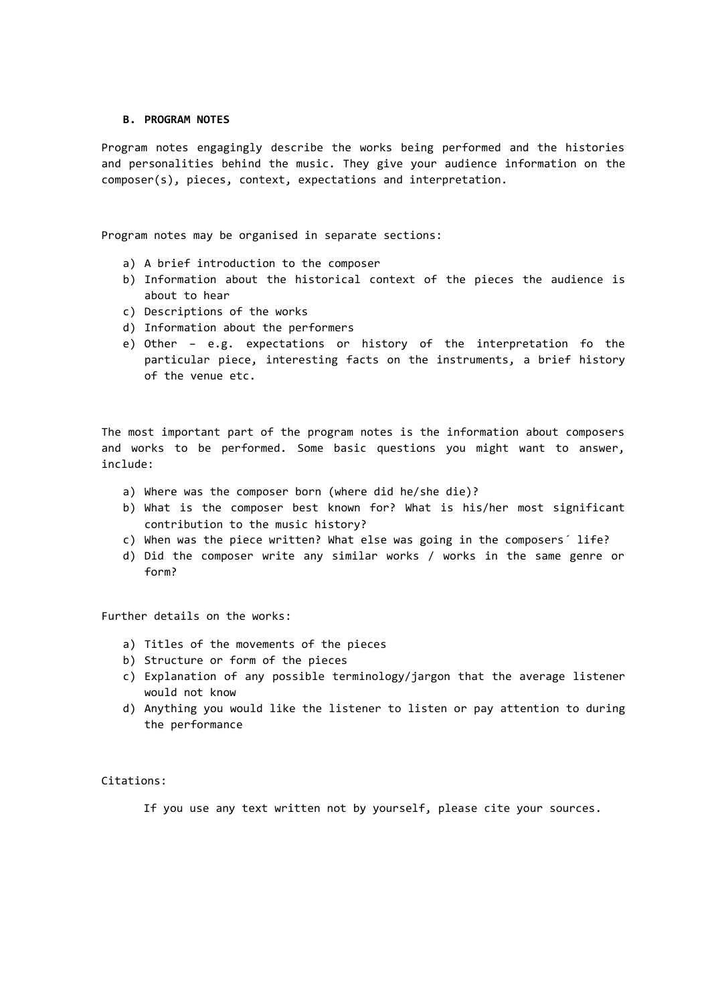#### **B. PROGRAM NOTES**

Program notes engagingly describe the works being performed and the histories and personalities behind the music. They give your audience information on the composer(s), pieces, context, expectations and interpretation.

Program notes may be organised in separate sections:

- a) A brief introduction to the composer
- b) Information about the historical context of the pieces the audience is about to hear
- c) Descriptions of the works
- d) Information about the performers
- e) Other e.g. expectations or history of the interpretation fo the particular piece, interesting facts on the instruments, a brief history of the venue etc.

The most important part of the program notes is the information about composers and works to be performed. Some basic questions you might want to answer, include:

- a) Where was the composer born (where did he/she die)?
- b) What is the composer best known for? What is his/her most significant contribution to the music history?
- c) When was the piece written? What else was going in the composers´ life?
- d) Did the composer write any similar works / works in the same genre or form?

Further details on the works:

- a) Titles of the movements of the pieces
- b) Structure or form of the pieces
- c) Explanation of any possible terminology/jargon that the average listener would not know
- d) Anything you would like the listener to listen or pay attention to during the performance

Citations:

If you use any text written not by yourself, please cite your sources.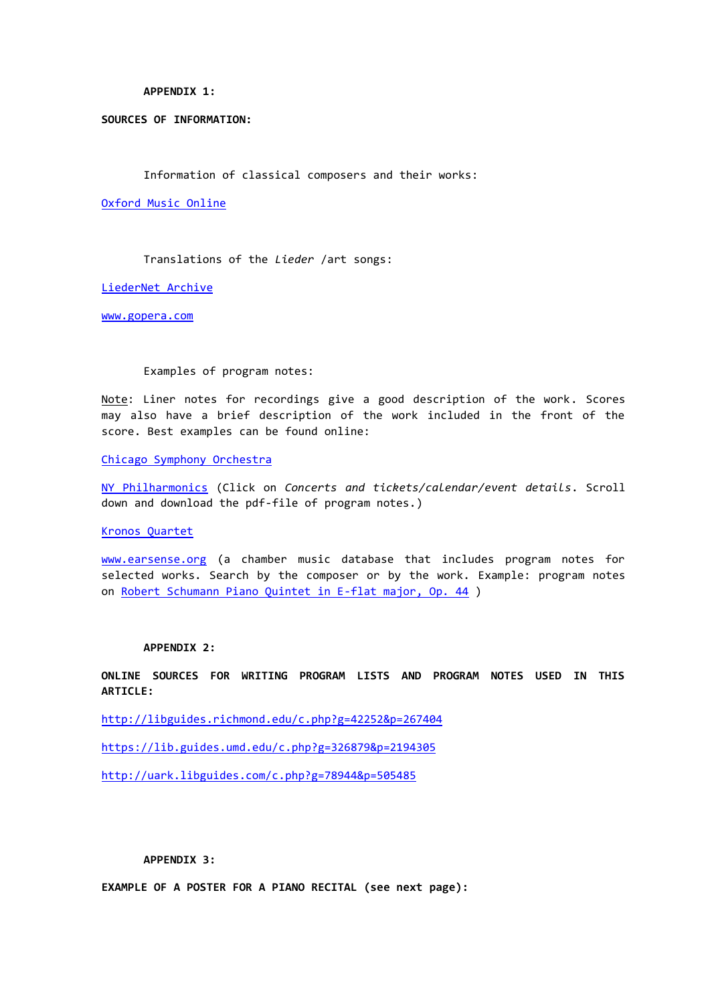#### **APPENDIX 1:**

### **SOURCES OF INFORMATION:**

Information of classical composers and their works:

[Oxford Music Online](Includes%20Grove%20Music%20Online,%20the%20Oxford%20Dictionary%20of%20Music,%20and%20the%20Oxford%20Companion%20to%20Music)

Translations of the *Lieder* /art songs:

[LiederNet Archive](http://www.lieder.net/lieder/index.html)

<www.gopera.com>

#### Examples of program notes:

Note: Liner notes for recordings give a good description of the work. Scores may also have a brief description of the work included in the front of the score. Best examples can be found online:

[Chicago Symphony Orchestra](https://csosoundsandstories.org/category/program-books/)

[NY Philharmonics](https://nyphil.org/) (Click on *Concerts and tickets/calendar/event details*. Scroll down and download the pdf-file of program notes.)

[Kronos Quartet](http://kronosquartet.org/projects)

[www.earsense.org](http://www.earsense.org/) (a chamber music database that includes program notes for selected works. Search by the composer or by the work. Example: program notes on [Robert Schumann Piano Quintet in E-flat major, Op. 44](https://www.earsense.org/chamberbase/works/detail/?pkey=673) )

### **APPENDIX 2:**

**ONLINE SOURCES FOR WRITING PROGRAM LISTS AND PROGRAM NOTES USED IN THIS ARTICLE:**

<http://libguides.richmond.edu/c.php?g=42252&p=267404>

<https://lib.guides.umd.edu/c.php?g=326879&p=2194305>

<http://uark.libguides.com/c.php?g=78944&p=505485>

#### **APPENDIX 3:**

**EXAMPLE OF A POSTER FOR A PIANO RECITAL (see next page):**